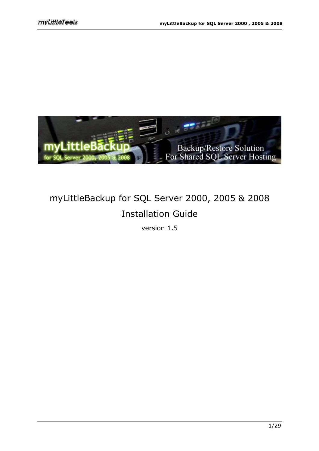

# myLittleBackup for SQL Server 2000, 2005 & 2008 Installation Guide

version 1.5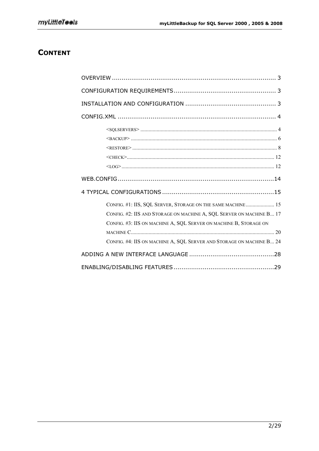# **CONTENT**

| CONFIG. #1: IIS, SQL SERVER, STORAGE ON THE SAME MACHINE 15          |
|----------------------------------------------------------------------|
| CONFIG. #2: IIS AND STORAGE ON MACHINE A, SQL SERVER ON MACHINE B 17 |
| CONFIG. #3: IIS ON MACHINE A, SQL SERVER ON MACHINE B, STORAGE ON    |
|                                                                      |
| CONFIG. #4: IIS ON MACHINE A, SQL SERVER AND STORAGE ON MACHINE B 24 |
|                                                                      |
|                                                                      |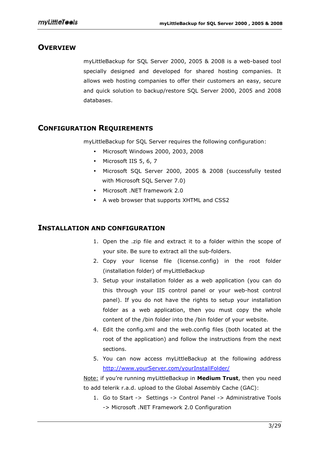## **OVERVIEW**

myLittleBackup for SQL Server 2000, 2005 & 2008 is a web-based tool specially designed and developed for shared hosting companies. It allows web hosting companies to offer their customers an easy, secure and quick solution to backup/restore SQL Server 2000, 2005 and 2008 databases.

# CONFIGURATION REQUIREMENTS

myLittleBackup for SQL Server requires the following configuration:

- Microsoft Windows 2000, 2003, 2008
- Microsoft IIS 5, 6, 7
- Microsoft SQL Server 2000, 2005 & 2008 (successfully tested with Microsoft SQL Server 7.0)
- Microsoft .NET framework 2.0
- A web browser that supports XHTML and CSS2

## INSTALLATION AND CONFIGURATION

- 1. Open the .zip file and extract it to a folder within the scope of your site. Be sure to extract all the sub-folders.
- 2. Copy your license file (license.config) in the root folder (installation folder) of myLittleBackup
- 3. Setup your installation folder as a web application (you can do this through your IIS control panel or your web-host control panel). If you do not have the rights to setup your installation folder as a web application, then you must copy the whole content of the /bin folder into the /bin folder of your website.
- 4. Edit the config.xml and the web.config files (both located at the root of the application) and follow the instructions from the next sections.
- 5. You can now access myLittleBackup at the following address http://www.yourServer.com/yourInstallFolder/

Note: if you're running myLittleBackup in Medium Trust, then you need to add telerik r.a.d. upload to the Global Assembly Cache (GAC):

1. Go to Start -> Settings -> Control Panel -> Administrative Tools -> Microsoft .NET Framework 2.0 Configuration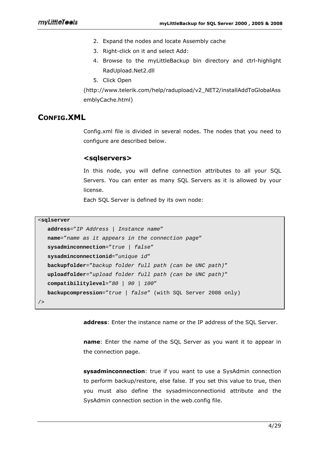- 2. Expand the nodes and locate Assembly cache
- 3. Right-click on it and select Add:
- 4. Browse to the myLittleBackup bin directory and ctrl-highlight RadUpload.Net2.dll
- 5. Click Open

(http://www.telerik.com/help/radupload/v2\_NET2/installAddToGlobalAss emblyCache.html)

# CONFIG.XML

Config.xml file is divided in several nodes. The nodes that you need to configure are described below.

### <sqlservers>

In this node, you will define connection attributes to all your SQL Servers. You can enter as many SQL Servers as it is allowed by your license.

Each SQL Server is defined by its own node:

#### <**sqlserver**

```
address="IP Address | Instance name" 
  name="name as it appears in the connection page" 
  sysadminconnection="true | false" 
  sysadminconnectionid="unique id" 
  backupfolder="backup folder full path (can be UNC path)" 
  uploadfolder="upload folder full path (can be UNC path)" 
  compatibilitylevel="80 | 90 | 100" 
  backupcompression="true | false" (with SQL Server 2008 only) 
/>
```
address: Enter the instance name or the IP address of the SQL Server.

name: Enter the name of the SQL Server as you want it to appear in the connection page.

sysadminconnection: true if you want to use a SysAdmin connection to perform backup/restore, else false. If you set this value to true, then you must also define the sysadminconnectionid attribute and the SysAdmin connection section in the web.config file.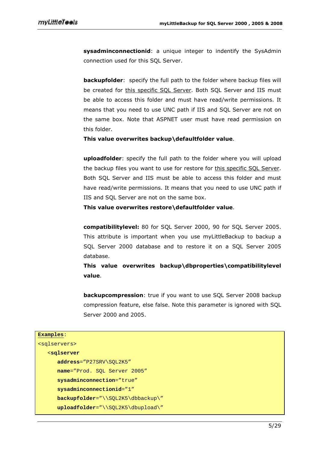sysadminconnectionid: a unique integer to indentify the SysAdmin connection used for this SQL Server.

**backupfolder**: specify the full path to the folder where backup files will be created for this specific SQL Server. Both SQL Server and IIS must be able to access this folder and must have read/write permissions. It means that you need to use UNC path if IIS and SQL Server are not on the same box. Note that ASPNET user must have read permission on this folder.

This value overwrites backup\defaultfolder value.

uploadfolder: specify the full path to the folder where you will upload the backup files you want to use for restore for this specific SQL Server. Both SQL Server and IIS must be able to access this folder and must have read/write permissions. It means that you need to use UNC path if IIS and SQL Server are not on the same box.

This value overwrites restore\defaultfolder value.

compatibilitylevel: 80 for SQL Server 2000, 90 for SQL Server 2005. This attribute is important when you use myLittleBackup to backup a SQL Server 2000 database and to restore it on a SQL Server 2005 database.

This value overwrites backup\dbproperties\compatibilitylevel value.

backupcompression: true if you want to use SQL Server 2008 backup compression feature, else false. Note this parameter is ignored with SQL Server 2000 and 2005.

| Examples:                         |  |  |
|-----------------------------------|--|--|
| <sqlservers></sqlservers>         |  |  |
| <sqlserver< td=""></sqlserver<>   |  |  |
| $address="P27SRV\SGL2K5"$         |  |  |
| name="Prod. SQL Server 2005"      |  |  |
| sysadminconnection="true"         |  |  |
| $sysadminconnectionid = "1"$      |  |  |
| backupfolder="\\SQL2K5\dbbackup\" |  |  |
| $uploadfolder="\\$ $\gtrsim\$     |  |  |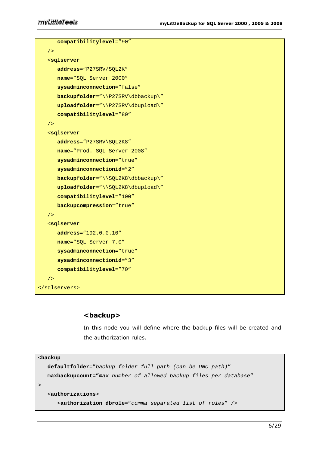| compatibilitylevel="90"           |
|-----------------------------------|
| /                                 |
| <sqlserver< td=""></sqlserver<>   |
| address="P27SRV/SQL2K"            |
| name="SOL Server 2000"            |
| sysadminconnection="false"        |
| backupfolder="\\P27SRV\dbbackup\" |
| uploadfolder="\\P27SRV\dbupload\" |
| compatibilitylevel="80"           |
| /                                 |
| <sqlserver< td=""></sqlserver<>   |
| $address="P27SRV\SGL2K8"$         |
| name="Prod. SQL Server 2008"      |
| sysadminconnection="true"         |
| sysadminconnectionid="2"          |
| backupfolder="\\SQL2K8\dbbackup\" |
| uploadfolder="\\SQL2K8\dbupload\" |
| compatibilitylevel="100"          |
| backupcompression="true"          |
| /                                 |
| <sqlserver< td=""></sqlserver<>   |
| address="192.0.0.10"              |
| name="SQL Server 7.0"             |
| sysadminconnection="true"         |
| sysadminconnectionid="3"          |
| compatibilitylevel="70"           |
| /                                 |
|                                   |

# <backup>

In this node you will define where the backup files will be created and the authorization rules.

```
<backup
```

```
defaultfolder="backup folder full path (can be UNC path)" 
    maxbackupcount="max number of allowed backup files per database" 
> 
    <authorizations> 
       <authorization dbrole="comma separated list of roles" />
```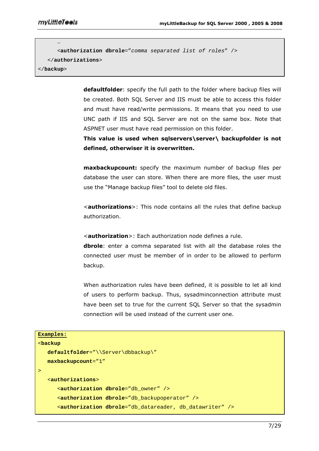```
 … 
       <authorization dbrole="comma separated list of roles" /> 
    </authorizations> 
</backup>
```
defaultfolder: specify the full path to the folder where backup files will be created. Both SQL Server and IIS must be able to access this folder and must have read/write permissions. It means that you need to use UNC path if IIS and SQL Server are not on the same box. Note that ASPNET user must have read permission on this folder.

This value is used when sqlservers\server\ backupfolder is not defined, otherwiser it is overwritten.

**maxbackupcount:** specify the maximum number of backup files per database the user can store. When there are more files, the user must use the "Manage backup files" tool to delete old files.

<authorizations>: This node contains all the rules that define backup authorization.

<**authorization**>: Each authorization node defines a rule.

dbrole: enter a comma separated list with all the database roles the connected user must be member of in order to be allowed to perform backup.

When authorization rules have been defined, it is possible to let all kind of users to perform backup. Thus, sysadminconnection attribute must have been set to true for the current SQL Server so that the sysadmin connection will be used instead of the current user one.

```
Examples:
```

```
<backup
   defaultfolder="\\Server\dbbackup\" 
   maxbackupcount="1" 
> 
    <authorizations> 
       <authorization dbrole="db_owner" /> 
       <authorization dbrole="db_backupoperator" /> 
       <authorization dbrole="db_datareader, db_datawriter" />
```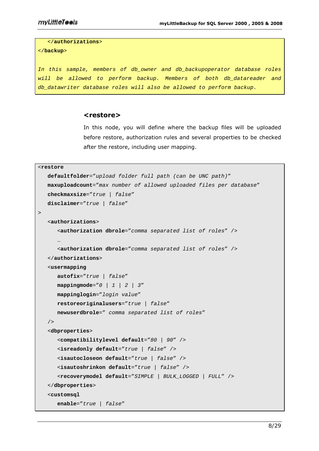</**authorizations**> </**backup**> In this sample, members of db\_owner and db\_backupoperator database roles will be allowed to perform backup. Members of both db\_datareader and db\_datawriter database roles will also be allowed to perform backup.

#### <restore>

In this node, you will define where the backup files will be uploaded before restore, authorization rules and several properties to be checked after the restore, including user mapping.

```
<restore
```

```
defaultfolder="upload folder full path (can be UNC path)" 
   maxuploadcount="max number of allowed uploaded files per database" 
   checkmaxsize="true | false" 
   disclaimer="true | false" 
> 
    <authorizations> 
       <authorization dbrole="comma separated list of roles" /> 
 … 
       <authorization dbrole="comma separated list of roles" /> 
    </authorizations> 
    <usermapping
       autofix="true | false" 
       mappingmode="0 | 1 | 2 | 3" 
       mappinglogin="login value" 
       restoreoriginalusers="true | false" 
       newuserdbrole=" comma separated list of roles" 
   / <dbproperties> 
       <compatibilitylevel default="80 | 90" /> 
       <isreadonly default="true | false" /> 
       <isautocloseon default="true | false" /> 
       <isautoshrinkon default="true | false" /> 
       <recoverymodel default="SIMPLE | BULK_LOGGED | FULL" /> 
    </dbproperties> 
    <customsql
       enable="true | false"
```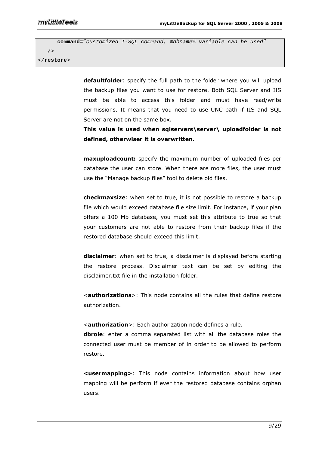```
 command="customized T-SQL command, %dbname% variable can be used" 
    /> 
</restore>
```
defaultfolder: specify the full path to the folder where you will upload the backup files you want to use for restore. Both SQL Server and IIS must be able to access this folder and must have read/write permissions. It means that you need to use UNC path if IIS and SQL Server are not on the same box.

This value is used when sqlservers\server\ uploadfolder is not defined, otherwiser it is overwritten.

**maxuploadcount:** specify the maximum number of uploaded files per database the user can store. When there are more files, the user must use the "Manage backup files" tool to delete old files.

checkmaxsize: when set to true, it is not possible to restore a backup file which would exceed database file size limit. For instance, if your plan offers a 100 Mb database, you must set this attribute to true so that your customers are not able to restore from their backup files if the restored database should exceed this limit.

disclaimer: when set to true, a disclaimer is displayed before starting the restore process. Disclaimer text can be set by editing the disclaimer.txt file in the installation folder.

 $\leq$  authorizations $\geq$ : This node contains all the rules that define restore authorization.

<**authorization**>: Each authorization node defines a rule.

**dbrole**: enter a comma separated list with all the database roles the connected user must be member of in order to be allowed to perform restore.

<usermapping>: This node contains information about how user mapping will be perform if ever the restored database contains orphan users.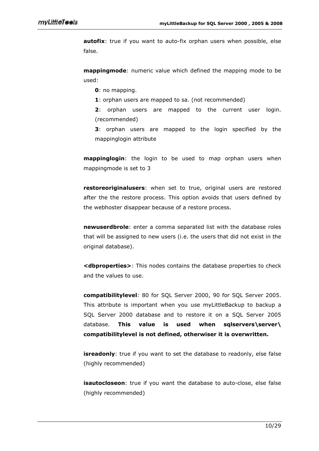**autofix**: true if you want to auto-fix orphan users when possible, else false.

mappingmode: numeric value which defined the mapping mode to be used:

0: no mapping.

1: orphan users are mapped to sa. (not recommended)

2: orphan users are mapped to the current user login. (recommended)

**3**: orphan users are mapped to the login specified by the mappinglogin attribute

mappinglogin: the login to be used to map orphan users when mappingmode is set to 3

restoreoriginalusers: when set to true, original users are restored after the the restore process. This option avoids that users defined by the webhoster disappear because of a restore process.

newuserdbrole: enter a comma separated list with the database roles that will be assigned to new users (i.e. the users that did not exist in the original database).

<dbproperties>: This nodes contains the database properties to check and the values to use.

compatibilitylevel: 80 for SQL Server 2000, 90 for SQL Server 2005. This attribute is important when you use myLittleBackup to backup a SQL Server 2000 database and to restore it on a SQL Server 2005 database. This value is used when sqlservers\server\ compatibilitylevel is not defined, otherwiser it is overwritten.

isreadonly: true if you want to set the database to readonly, else false (highly recommended)

**isautocloseon**: true if you want the database to auto-close, else false (highly recommended)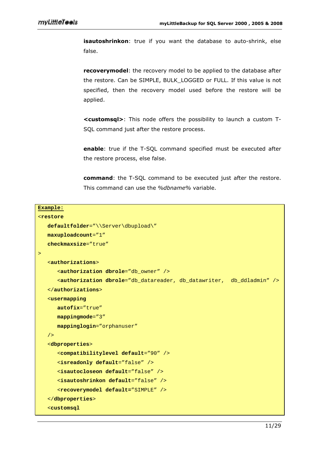**isautoshrinkon**: true if you want the database to auto-shrink, else false.

recoverymodel: the recovery model to be applied to the database after the restore. Can be SIMPLE, BULK\_LOGGED or FULL. If this value is not specified, then the recovery model used before the restore will be applied.

<customsql>: This node offers the possibility to launch a custom T-SQL command just after the restore process.

enable: true if the T-SQL command specified must be executed after the restore process, else false.

command: the T-SQL command to be executed just after the restore. This command can use the %dbname% variable.

```
Example:
```

```
<restore
   defaultfolder="\\Server\dbupload\" 
   maxuploadcount="1" 
   checkmaxsize="true" 
> 
    <authorizations> 
       <authorization dbrole="db_owner" /> 
       <authorization dbrole="db_datareader, db_datawriter, db_ddladmin" /> 
    </authorizations> 
    <usermapping
       autofix="true" 
       mappingmode="3" 
       mappinglogin="orphanuser" 
    /> 
    <dbproperties> 
       <compatibilitylevel default="90" /> 
       <isreadonly default="false" /> 
       <isautocloseon default="false" /> 
       <isautoshrinkon default="false" /> 
       <recoverymodel default="SIMPLE" /> 
    </dbproperties> 
    <customsql
```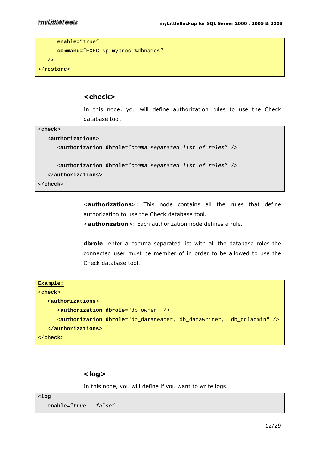```
 enable="true" 
       command="EXEC sp_myproc %dbname%" 
    /> 
</restore>
```
#### <check>

In this node, you will define authorization rules to use the Check database tool.

| $<$ check $>$                                                          |
|------------------------------------------------------------------------|
| <authorizations></authorizations>                                      |
| <authorization dbrole="comma separated list of roles"></authorization> |
| $\cdots$                                                               |
| <authorization dbrole="comma separated list of roles"></authorization> |
| $\langle$ /authorizations>                                             |
| $\langle$ / check>                                                     |

<authorizations>: This node contains all the rules that define authorization to use the Check database tool.

<**authorization**>: Each authorization node defines a rule.

dbrole: enter a comma separated list with all the database roles the connected user must be member of in order to be allowed to use the Check database tool.



## <log>

In this node, you will define if you want to write logs.

```
<log
   enable="true | false"
```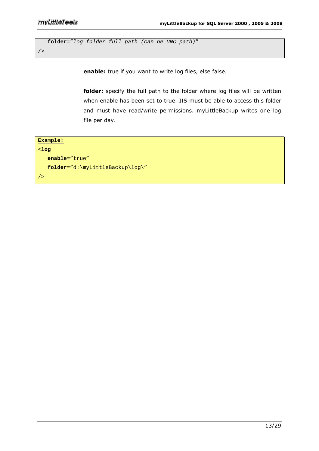**folder**="log folder full path (can be UNC path)"

/>

enable: true if you want to write log files, else false.

folder: specify the full path to the folder where log files will be written when enable has been set to true. IIS must be able to access this folder and must have read/write permissions. myLittleBackup writes one log file per day.

```
Example:
<log 
    enable="true" 
   folder="d:\myLittleBackup\log\" 
/>
```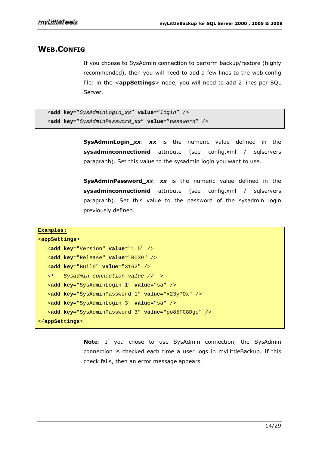# WEB.CONFIG

If you choose to SysAdmin connection to perform backup/restore (highly recommended), then you will need to add a few lines to the web.config file: in the <appSettings> node, you will need to add 2 lines per SQL Server.

```
 <add key="SysAdminLogin_xx" value="login" /> 
 <add key="SysAdminPassword_xx" value="password" />
```
SysAdminLogin\_xx: xx is the numeric value defined in the sysadminconnectionid attribute (see config.xml / sqlservers paragraph). Set this value to the sysadmin login you want to use.

SysAdminPassword\_xx: xx is the numeric value defined in the sysadminconnectionid attribute (see config.xml / sqlservers paragraph). Set this value to the password of the sysadmin login previously defined.

```
Examples:
<appSettings> 
    <add key="Version" value="1.5" /> 
    <add key="Release" value="0039" /> 
   <add key="Build" value="3162" /> 
  <!-- Sysadmin connection value //--> 
    <add key="SysAdminLogin_1" value="sa" /> 
    <add key="SysAdminPassword_1" value="x23yPOx" /> 
    <add key="SysAdminLogin_3" value="sa" /> 
    <add key="SysAdminPassword_3" value="po85FC8Dgc" /> 
</appSettings>
```
Note: If you chose to use SysAdmin connection, the SysAdmin connection is checked each time a user logs in myLittleBackup. If this check fails, then an error message appears.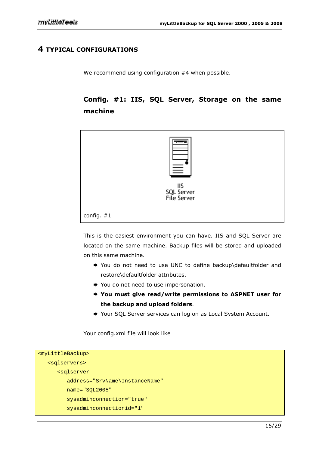# 4 TYPICAL CONFIGURATIONS

We recommend using configuration #4 when possible.

# Config. #1: IIS, SQL Server, Storage on the same machine



This is the easiest environment you can have. IIS and SQL Server are located on the same machine. Backup files will be stored and uploaded on this same machine.

- ◆ You do not need to use UNC to define backup\defaultfolder and restore\defaultfolder attributes.
- ◆ You do not need to use impersonation.
- You must give read/write permissions to ASPNET user for the backup and upload folders.
- ◆ Your SQL Server services can log on as Local System Account.

Your config.xml file will look like

| <mylittlebackup></mylittlebackup>        |  |
|------------------------------------------|--|
| <sqlservers></sqlservers>                |  |
| <sqlserver< td=""><td></td></sqlserver<> |  |
| address="SrvName\InstanceName"           |  |
| $name="SQL2005"$                         |  |
| sysadminconnection="true"                |  |
| sysadminconnectionid="1"                 |  |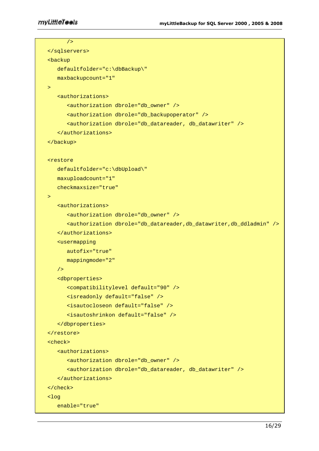| /                                                                                |
|----------------------------------------------------------------------------------|
|                                                                                  |
| <backup< th=""></backup<>                                                        |
| defaultfolder="c:\dbBackup\"                                                     |
| maxbackupcount="1"                                                               |
| $\, > \,$                                                                        |
| <authorizations></authorizations>                                                |
| <authorization dbrole="db_owner"></authorization>                                |
| <authorization dbrole="db_backupoperator"></authorization>                       |
| <authorization dbrole="db_datareader, db_datawriter"></authorization>            |
|                                                                                  |
|                                                                                  |
| <restore< td=""></restore<>                                                      |
| $defaultfolder="c:\dbUpload\"$                                                   |
| maxuploadcount="1"                                                               |
| checkmaxsize="true"                                                              |
| >                                                                                |
| <authorizations></authorizations>                                                |
| <authorization dbrole="db_owner"></authorization>                                |
| <authorization dbrole="db_datareader,db_datawriter,db_ddladmin"></authorization> |
|                                                                                  |
| <usermapping< td=""></usermapping<>                                              |
| autofix="true"                                                                   |
| $mappingmode="2"$                                                                |
| /                                                                                |
| <dbproperties></dbproperties>                                                    |
| <compatibilitylevel default="90"></compatibilitylevel>                           |
| <isreadonly default="false"></isreadonly>                                        |
| <isautocloseon default="false"></isautocloseon>                                  |
| <isautoshrinkon default="false"></isautoshrinkon>                                |
|                                                                                  |
|                                                                                  |
| <check></check>                                                                  |
| <authorizations></authorizations>                                                |
| <authorization dbrole="db_owner"></authorization>                                |
| <authorization dbrole="db_datareader, db_datawriter"></authorization>            |
|                                                                                  |
| $\langle$ / check>                                                               |
| $log$                                                                            |
| enable="true"                                                                    |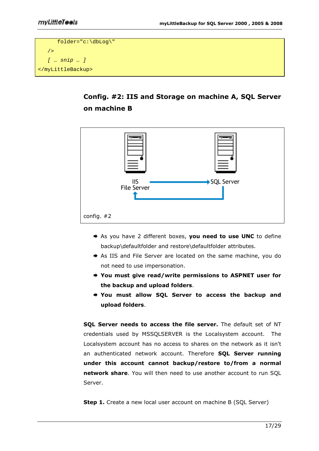```
 folder="c:\dbLog\" 
   / [ … snip … ] 
</myLittleBackup>
```




- As you have 2 different boxes, you need to use UNC to define backup\defaultfolder and restore\defaultfolder attributes.
- As IIS and File Server are located on the same machine, you do not need to use impersonation.
- You must give read/write permissions to ASPNET user for the backup and upload folders.
- You must allow SQL Server to access the backup and upload folders.

SQL Server needs to access the file server. The default set of NT credentials used by MSSQLSERVER is the Localsystem account. The Localsystem account has no access to shares on the network as it isn't an authenticated network account. Therefore **SQL Server running** under this account cannot backup/restore to/from a normal network share. You will then need to use another account to run SQL Server.

Step 1. Create a new local user account on machine B (SQL Server)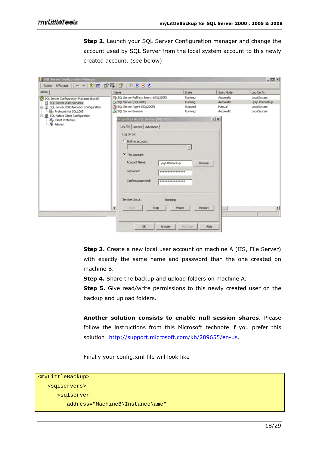**Step 2.** Launch your SQL Server Configuration manager and change the account used by SQL Server from the local system account to this newly created account. (see below)

| Arbre                                                                                                                                                                                                               | Name                                                                                                                                                                                                                                                                      | State                                                             | Start Mode                                    | Log On As                                                     |
|---------------------------------------------------------------------------------------------------------------------------------------------------------------------------------------------------------------------|---------------------------------------------------------------------------------------------------------------------------------------------------------------------------------------------------------------------------------------------------------------------------|-------------------------------------------------------------------|-----------------------------------------------|---------------------------------------------------------------|
| SQL Server Configuration Manager (Local)<br>目.<br>SQL Server 2005 Services<br>SQL Server 2005 Network Configuration<br>Protocols for SQL2005<br>□ 单 SQL Native Client Configuration<br>易。Client Protocols<br>Alases | SQL Server FullText Search (SQL2005)<br>50 SQL Server (50 L2005)<br>SQL Server Agent (SQL2005)<br>SQL Server Browser                                                                                                                                                      | Running<br>Running<br>Stopped<br>Running                          | Automatic<br>Automatic<br>Manual<br>Automatic | LocalSystem<br>.\myLittleBackup<br>LocalSystem<br>LocalSystem |
|                                                                                                                                                                                                                     | Propriétés de SQL Server (SQL2005)<br>Log On Service Advanced<br>Log on as:<br>C Built-in account:<br><sup>(</sup> Fhis account:<br>Account Name:<br>.\myLittleBackup<br>Password:<br>Confirm password:<br>Service status:<br>Running<br>Start.<br>Stop<br>$\blacksquare$ | Browse<br>***************<br>****************<br>Pause<br>Restart | 2 X                                           |                                                               |

Step 3. Create a new local user account on machine A (IIS, File Server) with exactly the same name and password than the one created on machine B.

Step 4. Share the backup and upload folders on machine A.

**Step 5.** Give read/write permissions to this newly created user on the backup and upload folders.

Another solution consists to enable null session shares. Please follow the instructions from this Microsoft technote if you prefer this solution: http://support.microsoft.com/kb/289655/en-us.

Finally your config.xml file will look like

```
<myLittleBackup> 
    <sqlservers> 
       <sqlserver 
           address="MachineB\InstanceName"
```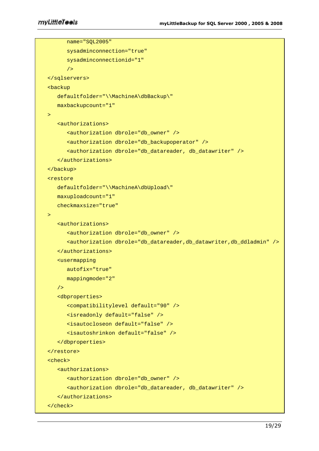```
 name="SQL2005" 
       sysadminconnection="true" 
       sysadminconnectionid="1" 
       /> 
 </sqlservers> 
 <backup 
    defaultfolder="\\MachineA\dbBackup\" 
    maxbackupcount="1" 
\geq <authorizations> 
       <authorization dbrole="db_owner" /> 
       <authorization dbrole="db_backupoperator" /> 
       <authorization dbrole="db_datareader, db_datawriter" /> 
    </authorizations> 
 </backup> 
 <restore 
    defaultfolder="\\MachineA\dbUpload\" 
    maxuploadcount="1" 
    checkmaxsize="true" 
 > 
    <authorizations> 
       <authorization dbrole="db_owner" /> 
       <authorization dbrole="db_datareader,db_datawriter,db_ddladmin" /> 
    </authorizations> 
    <usermapping 
       autofix="true" 
       mappingmode="2" 
   / <dbproperties> 
       <compatibilitylevel default="90" /> 
       <isreadonly default="false" /> 
       <isautocloseon default="false" /> 
       <isautoshrinkon default="false" /> 
    </dbproperties> 
 </restore> 
 <check> 
    <authorizations> 
       <authorization dbrole="db_owner" /> 
       <authorization dbrole="db_datareader, db_datawriter" /> 
    </authorizations> 
 </check>
```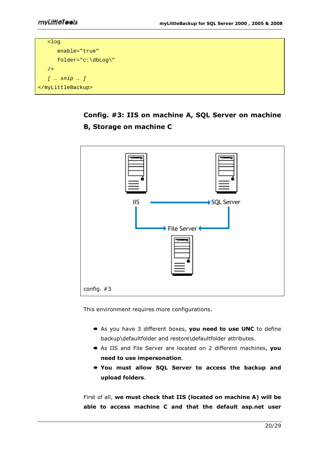





This environment requires more configurations.

- As you have 3 different boxes, you need to use UNC to define backup\defaultfolder and restore\defaultfolder attributes.
- As IIS and File Server are located on 2 different machines, you need to use impersonation.
- You must allow SQL Server to access the backup and upload folders.

First of all, we must check that IIS (located on machine A) will be able to access machine C and that the default asp.net user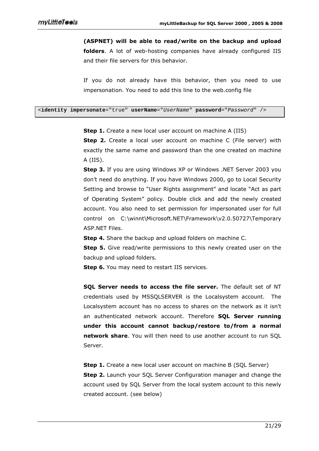(ASPNET) will be able to read/write on the backup and upload folders. A lot of web-hosting companies have already configured IIS and their file servers for this behavior.

If you do not already have this behavior, then you need to use impersonation. You need to add this line to the web.config file

<**identity impersonate**="true" **userName**="UserName" **password**="Password" />

**Step 1.** Create a new local user account on machine A (IIS)

Step 2. Create a local user account on machine C (File server) with exactly the same name and password than the one created on machine A (IIS).

**Step 3.** If you are using Windows XP or Windows .NET Server 2003 you don't need do anything. If you have Windows 2000, go to Local Security Setting and browse to "User Rights assignment" and locate "Act as part of Operating System" policy. Double click and add the newly created account. You also need to set permission for impersonated user for full control on C:\winnt\Microsoft.NET\Framework\v2.0.50727\Temporary ASP.NET Files.

Step 4. Share the backup and upload folders on machine C.

**Step 5.** Give read/write permissions to this newly created user on the backup and upload folders.

Step 6. You may need to restart IIS services.

SOL Server needs to access the file server. The default set of NT credentials used by MSSQLSERVER is the Localsystem account. The Localsystem account has no access to shares on the network as it isn't an authenticated network account. Therefore **SQL Server running** under this account cannot backup/restore to/from a normal network share. You will then need to use another account to run SQL Server.

Step 1. Create a new local user account on machine B (SQL Server) **Step 2.** Launch your SQL Server Configuration manager and change the account used by SQL Server from the local system account to this newly created account. (see below)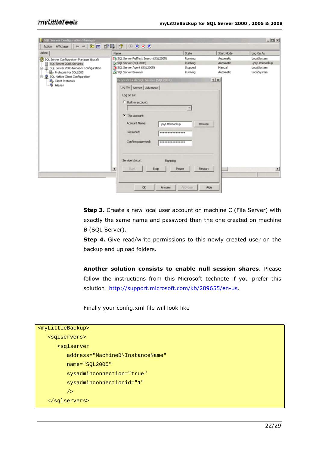| Arbre                                                                                                                                                                                                               | Name                                                                                                                                                                                                                                                                                                                                                                                                                                                | State                                                                  | Start Mode                                            | Log On As                                                     |
|---------------------------------------------------------------------------------------------------------------------------------------------------------------------------------------------------------------------|-----------------------------------------------------------------------------------------------------------------------------------------------------------------------------------------------------------------------------------------------------------------------------------------------------------------------------------------------------------------------------------------------------------------------------------------------------|------------------------------------------------------------------------|-------------------------------------------------------|---------------------------------------------------------------|
| SQL Server Configuration Manager (Local)<br>目<br>SQL Server 2005 Services<br>SQL Server 2005 Network Configuration<br>Protocols for SQL2005<br>□ 是 SQL Native Client Configuration<br>县, Client Protocols<br>Alases | (5QL2005) SQL Server FullText Search (5QL2005)<br>DSQL Server (SQL2005)<br>SQL Server Agent (SQL2005)<br>SQL Server Browser<br>Propriétés de SQL Server (SQL2005)<br>Log On Service   Advanced  <br>Log on as:<br>C Built-in account:<br><sup>6</sup> This account:<br>Account Name:<br>.\myLittleBackup<br>Password:<br>****************<br>Confirm password:<br>****************<br>Service status:<br>Running<br>Stop<br>$\blacksquare$<br>Start | Running<br>Running<br>Stopped<br>Running<br>Browse<br>Restart<br>Pause | Automatic<br>Automatic<br>Manual<br>Automatic<br> ? X | LocalSystem<br>.\myLittleBackup<br>LocalSystem<br>LocalSystem |

Step 3. Create a new local user account on machine C (File Server) with exactly the same name and password than the one created on machine B (SQL Server).

Step 4. Give read/write permissions to this newly created user on the backup and upload folders.

Another solution consists to enable null session shares. Please follow the instructions from this Microsoft technote if you prefer this solution: http://support.microsoft.com/kb/289655/en-us.

Finally your config.xml file will look like

```
<myLittleBackup> 
    <sqlservers> 
       <sqlserver 
           address="MachineB\InstanceName" 
          name="SQL2005" 
           sysadminconnection="true" 
           sysadminconnectionid="1" 
          / </sqlservers>
```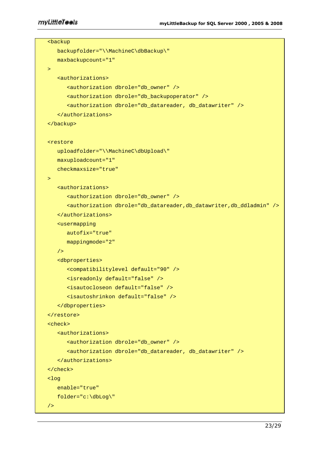| <backup< th=""></backup<>                                                        |
|----------------------------------------------------------------------------------|
| backupfolder="\\MachineC\dbBackup\"                                              |
| maxbackupcount="1"                                                               |
| $\geq$                                                                           |
| <authorizations></authorizations>                                                |
| <authorization dbrole="db_owner"></authorization>                                |
| <authorization dbrole="db_backupoperator"></authorization>                       |
| <authorization dbrole="db_datareader, db_datawriter"></authorization>            |
|                                                                                  |
|                                                                                  |
|                                                                                  |
| <restore< th=""></restore<>                                                      |
| uploadfolder="\\MachineC\dbUpload\"                                              |
| maxuploadcount="1"                                                               |
| checkmaxsize="true"                                                              |
| $\geq$                                                                           |
| <authorizations></authorizations>                                                |
| <authorization dbrole="db_owner"></authorization>                                |
| <authorization dbrole="db_datareader,db_datawriter,db_ddladmin"></authorization> |
|                                                                                  |
| <usermapping< th=""></usermapping<>                                              |
| autofix="true"                                                                   |
| $mappingmode="2"$                                                                |
| /                                                                                |
| <dbproperties></dbproperties>                                                    |
| <compatibilitylevel default="90"></compatibilitylevel>                           |
| <isreadonly default="false"></isreadonly>                                        |
| <isautocloseon default="false"></isautocloseon>                                  |
| <isautoshrinkon default="false"></isautoshrinkon>                                |
|                                                                                  |
|                                                                                  |
| <check></check>                                                                  |
| <authorizations></authorizations>                                                |
| <authorization dbrole="db_owner"></authorization>                                |
| <authorization dbrole="db_datareader, db_datawriter"></authorization>            |
|                                                                                  |
|                                                                                  |
| 10q                                                                              |
| enable="true"                                                                    |
| folder="c:\dbLog\"                                                               |
| /                                                                                |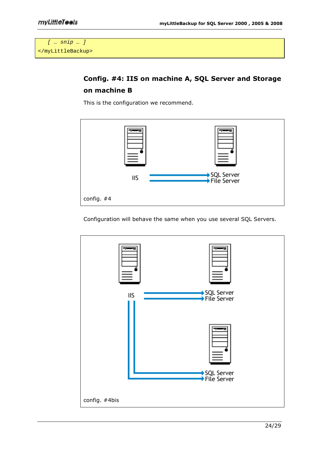```
 [ … snip … ] 
</myLittleBackup>
```
# Config. #4: IIS on machine A, SQL Server and Storage on machine B

This is the configuration we recommend.



Configuration will behave the same when you use several SQL Servers.

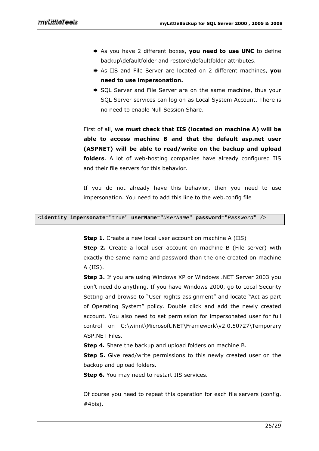- As you have 2 different boxes, you need to use UNC to define backup\defaultfolder and restore\defaultfolder attributes.
- As IIS and File Server are located on 2 different machines, you need to use impersonation.
- SQL Server and File Server are on the same machine, thus your SQL Server services can log on as Local System Account. There is no need to enable Null Session Share.

First of all, we must check that IIS (located on machine A) will be able to access machine B and that the default asp.net user (ASPNET) will be able to read/write on the backup and upload folders. A lot of web-hosting companies have already configured IIS and their file servers for this behavior.

If you do not already have this behavior, then you need to use impersonation. You need to add this line to the web.config file

<**identity impersonate**="true" **userName**="UserName" **password**="Password" />

Step 1. Create a new local user account on machine A (IIS)

**Step 2.** Create a local user account on machine B (File server) with exactly the same name and password than the one created on machine A (IIS).

Step 3. If you are using Windows XP or Windows .NET Server 2003 you don't need do anything. If you have Windows 2000, go to Local Security Setting and browse to "User Rights assignment" and locate "Act as part of Operating System" policy. Double click and add the newly created account. You also need to set permission for impersonated user for full control on C:\winnt\Microsoft.NET\Framework\v2.0.50727\Temporary ASP.NET Files.

Step 4. Share the backup and upload folders on machine B.

**Step 5.** Give read/write permissions to this newly created user on the backup and upload folders.

Step 6. You may need to restart IIS services.

Of course you need to repeat this operation for each file servers (config. #4bis).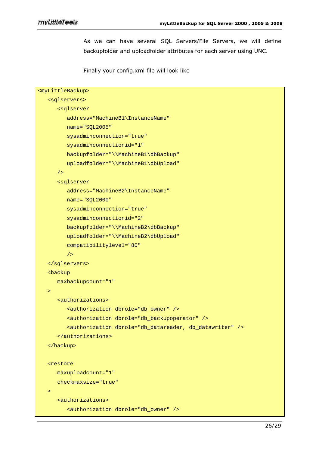As we can have several SQL Servers/File Servers, we will define backupfolder and uploadfolder attributes for each server using UNC.

Finally your config.xml file will look like

```
<myLittleBackup> 
    <sqlservers> 
       <sqlserver 
          address="MachineB1\InstanceName" 
          name="SQL2005" 
          sysadminconnection="true" 
          sysadminconnectionid="1" 
          backupfolder="\\MachineB1\dbBackup" 
          uploadfolder="\\MachineB1\dbUpload" 
      / <sqlserver 
          address="MachineB2\InstanceName" 
          name="SQL2000" 
          sysadminconnection="true" 
          sysadminconnectionid="2" 
          backupfolder="\\MachineB2\dbBackup" 
          uploadfolder="\\MachineB2\dbUpload" 
          compatibilitylevel="80" 
           /> 
    </sqlservers> 
    <backup 
       maxbackupcount="1" 
    > 
       <authorizations> 
          <authorization dbrole="db_owner" /> 
          <authorization dbrole="db_backupoperator" /> 
           <authorization dbrole="db_datareader, db_datawriter" /> 
       </authorizations> 
    </backup> 
    <restore 
       maxuploadcount="1" 
       checkmaxsize="true" 
    > 
       <authorizations> 
          <authorization dbrole="db_owner" />
```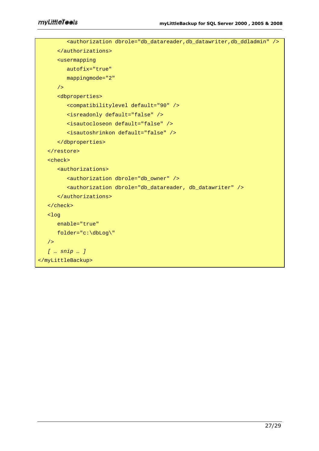| <authorization dbrole="db_datareader,db_datawriter,db_ddladmin"></authorization> |
|----------------------------------------------------------------------------------|
|                                                                                  |
| <usermapping< th=""></usermapping<>                                              |
| autofix="true"                                                                   |
| $mappingmode="2"$                                                                |
| /                                                                                |
| <dbproperties></dbproperties>                                                    |
| <compatibilitylevel default="90"></compatibilitylevel>                           |
| <isreadonly default="false"></isreadonly>                                        |
| <isautocloseon default="false"></isautocloseon>                                  |
| <isautoshrinkon default="false"></isautoshrinkon>                                |
|                                                                                  |
|                                                                                  |
| <check></check>                                                                  |
| <authorizations></authorizations>                                                |
| <authorization dbrole="db_owner"></authorization>                                |
| <authorization dbrole="db_datareader, db_datawriter"></authorization>            |
|                                                                                  |
|                                                                                  |
| $log$                                                                            |
| enable="true"                                                                    |
| folder="c:\dbLog\"                                                               |
| /                                                                                |
| $[$ $snip$ $]$                                                                   |
|                                                                                  |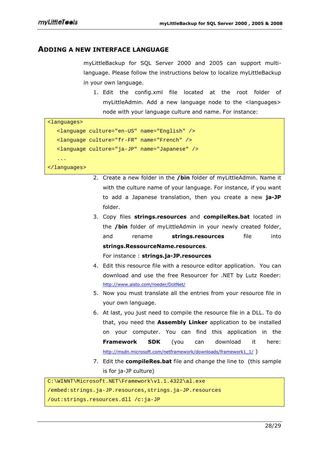#### ADDING A NEW INTERFACE LANGUAGE

myLittleBackup for SQL Server 2000 and 2005 can support multilanguage. Please follow the instructions below to localize myLittleBackup in your own language.

1. Edit the config.xml file located at the root folder of myLittleAdmin. Add a new language node to the <languages> node with your language culture and name. For instance:

```
<languages> 
  <language culture="en-US" name="English" /> 
  <language culture="fr-FR" name="French" /> 
    <language culture="ja-JP" name="Japanese" /> 
 ... 
</languages>
```
- 2. Create a new folder in the  $/b$ in folder of myLittleAdmin. Name it with the culture name of your language. For instance, if you want to add a Japanese translation, then you create a new **ia-JP** folder.
	- 3. Copy files strings.resources and compileRes.bat located in the /bin folder of myLittleAdmin in your newly created folder, and rename strings.resources file into strings.RessourceName.resources.

For instance: strings.ja-JP.resources

- 4. Edit this resource file with a resource editor application. You can download and use the free Resourcer for .NET by Lutz Roeder: http://www.aisto.com/roeder/DotNet/
- 5. Now you must translate all the entries from your resource file in your own language.
- 6. At last, you just need to compile the resource file in a DLL. To do that, you need the **Assembly Linker** application to be installed on your computer. You can find this application in the Framework SDK (you can download it here: http://msdn.microsoft.com/netframework/downloads/framework1\_1/ )
- 7. Edit the **compileRes.bat** file and change the line to (this sample is for ja-JP culture)

C:\WINNT\Microsoft.NET\Framework\v1.1.4322\al.exe /embed:strings.ja-JP.resources,strings.ja-JP.resources

/out:strings.resources.dll /c:ja-JP